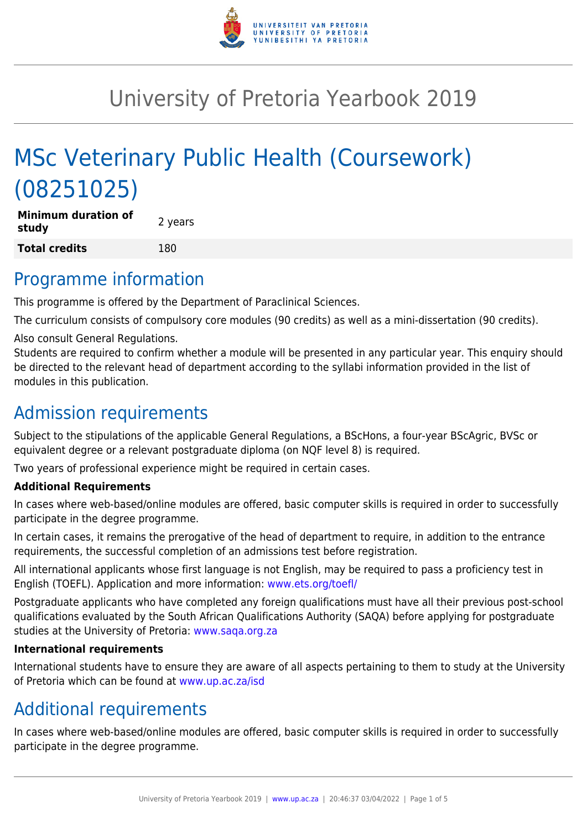

# University of Pretoria Yearbook 2019

# MSc Veterinary Public Health (Coursework) (08251025)

**Minimum duration of study** and **all attorn of the contract of the study Total credits** 180

### Programme information

This programme is offered by the Department of Paraclinical Sciences.

The curriculum consists of compulsory core modules (90 credits) as well as a mini-dissertation (90 credits).

Also consult General Regulations.

Students are required to confirm whether a module will be presented in any particular year. This enquiry should be directed to the relevant head of department according to the syllabi information provided in the list of modules in this publication.

## Admission requirements

Subject to the stipulations of the applicable General Regulations, a BScHons, a four-year BScAgric, BVSc or equivalent degree or a relevant postgraduate diploma (on NQF level 8) is required.

Two years of professional experience might be required in certain cases.

#### **Additional Requirements**

In cases where web-based/online modules are offered, basic computer skills is required in order to successfully participate in the degree programme.

In certain cases, it remains the prerogative of the head of department to require, in addition to the entrance requirements, the successful completion of an admissions test before registration.

All international applicants whose first language is not English, may be required to pass a proficiency test in English (TOEFL). Application and more information: [www.ets.org/toefl/](http://www.ets.org/toefl/)

Postgraduate applicants who have completed any foreign qualifications must have all their previous post-school qualifications evaluated by the South African Qualifications Authority (SAQA) before applying for postgraduate studies at the University of Pretoria: [www.saqa.org.za](http://www.saqa.org.za)

#### **International requirements**

International students have to ensure they are aware of all aspects pertaining to them to study at the University of Pretoria which can be found at [www.up.ac.za/isd](http://www.up.ac.za/isd)

# Additional requirements

In cases where web-based/online modules are offered, basic computer skills is required in order to successfully participate in the degree programme.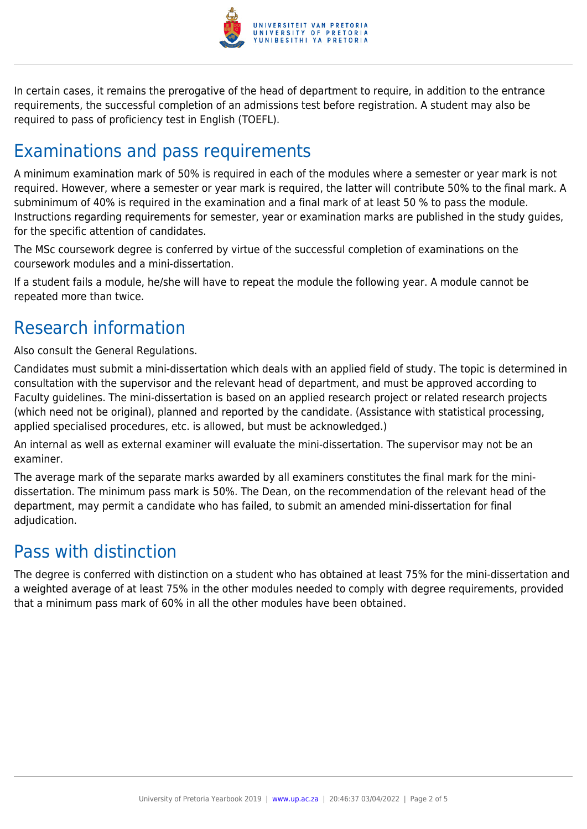

In certain cases, it remains the prerogative of the head of department to require, in addition to the entrance requirements, the successful completion of an admissions test before registration. A student may also be required to pass of proficiency test in English (TOEFL).

# Examinations and pass requirements

A minimum examination mark of 50% is required in each of the modules where a semester or year mark is not required. However, where a semester or year mark is required, the latter will contribute 50% to the final mark. A subminimum of 40% is required in the examination and a final mark of at least 50 % to pass the module. Instructions regarding requirements for semester, year or examination marks are published in the study guides, for the specific attention of candidates.

The MSc coursework degree is conferred by virtue of the successful completion of examinations on the coursework modules and a mini-dissertation.

If a student fails a module, he/she will have to repeat the module the following year. A module cannot be repeated more than twice.

# Research information

Also consult the General Regulations.

Candidates must submit a mini-dissertation which deals with an applied field of study. The topic is determined in consultation with the supervisor and the relevant head of department, and must be approved according to Faculty guidelines. The mini-dissertation is based on an applied research project or related research projects (which need not be original), planned and reported by the candidate. (Assistance with statistical processing, applied specialised procedures, etc. is allowed, but must be acknowledged.)

An internal as well as external examiner will evaluate the mini-dissertation. The supervisor may not be an examiner.

The average mark of the separate marks awarded by all examiners constitutes the final mark for the minidissertation. The minimum pass mark is 50%. The Dean, on the recommendation of the relevant head of the department, may permit a candidate who has failed, to submit an amended mini-dissertation for final adjudication.

### Pass with distinction

The degree is conferred with distinction on a student who has obtained at least 75% for the mini-dissertation and a weighted average of at least 75% in the other modules needed to comply with degree requirements, provided that a minimum pass mark of 60% in all the other modules have been obtained.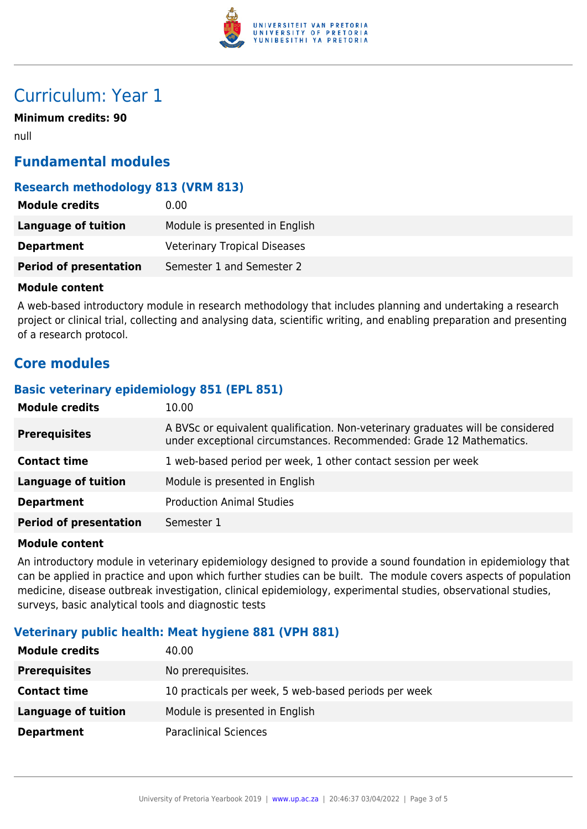

## Curriculum: Year 1

**Minimum credits: 90**

null

### **Fundamental modules**

### **Research methodology 813 (VRM 813)**

| <b>Module credits</b>         | 0.00                                |
|-------------------------------|-------------------------------------|
| Language of tuition           | Module is presented in English      |
| <b>Department</b>             | <b>Veterinary Tropical Diseases</b> |
| <b>Period of presentation</b> | Semester 1 and Semester 2           |

#### **Module content**

A web-based introductory module in research methodology that includes planning and undertaking a research project or clinical trial, collecting and analysing data, scientific writing, and enabling preparation and presenting of a research protocol.

### **Core modules**

#### **Basic veterinary epidemiology 851 (EPL 851)**

| <b>Module credits</b>         | 10.00                                                                                                                                                  |
|-------------------------------|--------------------------------------------------------------------------------------------------------------------------------------------------------|
| <b>Prerequisites</b>          | A BVSc or equivalent qualification. Non-veterinary graduates will be considered<br>under exceptional circumstances. Recommended: Grade 12 Mathematics. |
| <b>Contact time</b>           | 1 web-based period per week, 1 other contact session per week                                                                                          |
| <b>Language of tuition</b>    | Module is presented in English                                                                                                                         |
| <b>Department</b>             | <b>Production Animal Studies</b>                                                                                                                       |
| <b>Period of presentation</b> | Semester 1                                                                                                                                             |

#### **Module content**

An introductory module in veterinary epidemiology designed to provide a sound foundation in epidemiology that can be applied in practice and upon which further studies can be built. The module covers aspects of population medicine, disease outbreak investigation, clinical epidemiology, experimental studies, observational studies, surveys, basic analytical tools and diagnostic tests

#### **Veterinary public health: Meat hygiene 881 (VPH 881)**

| <b>Module credits</b> | 40.00                                                |
|-----------------------|------------------------------------------------------|
| <b>Prerequisites</b>  | No prerequisites.                                    |
| <b>Contact time</b>   | 10 practicals per week, 5 web-based periods per week |
| Language of tuition   | Module is presented in English                       |
| <b>Department</b>     | <b>Paraclinical Sciences</b>                         |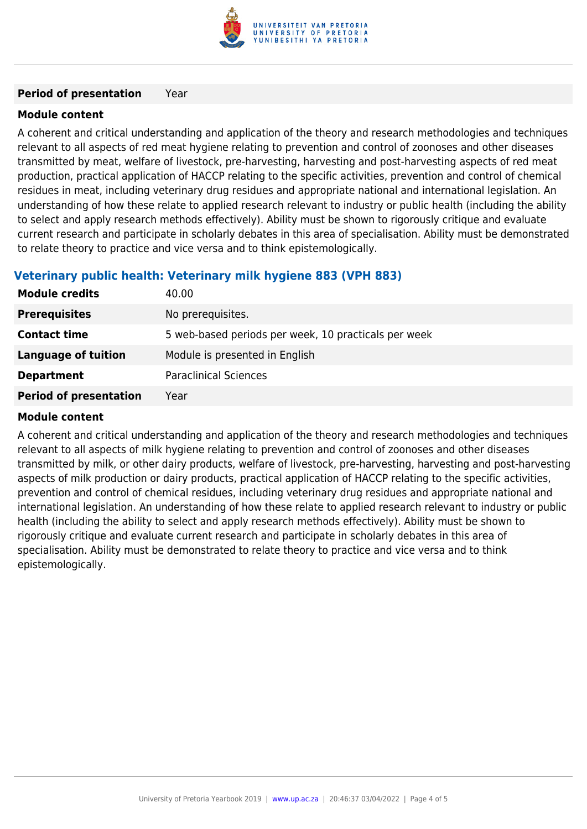

#### **Period of presentation** Year

#### **Module content**

A coherent and critical understanding and application of the theory and research methodologies and techniques relevant to all aspects of red meat hygiene relating to prevention and control of zoonoses and other diseases transmitted by meat, welfare of livestock, pre-harvesting, harvesting and post-harvesting aspects of red meat production, practical application of HACCP relating to the specific activities, prevention and control of chemical residues in meat, including veterinary drug residues and appropriate national and international legislation. An understanding of how these relate to applied research relevant to industry or public health (including the ability to select and apply research methods effectively). Ability must be shown to rigorously critique and evaluate current research and participate in scholarly debates in this area of specialisation. Ability must be demonstrated to relate theory to practice and vice versa and to think epistemologically.

#### **Veterinary public health: Veterinary milk hygiene 883 (VPH 883)**

| <b>Module credits</b>         | 40.00                                                |
|-------------------------------|------------------------------------------------------|
| <b>Prerequisites</b>          | No prerequisites.                                    |
| <b>Contact time</b>           | 5 web-based periods per week, 10 practicals per week |
| Language of tuition           | Module is presented in English                       |
| <b>Department</b>             | <b>Paraclinical Sciences</b>                         |
| <b>Period of presentation</b> | Year                                                 |

#### **Module content**

A coherent and critical understanding and application of the theory and research methodologies and techniques relevant to all aspects of milk hygiene relating to prevention and control of zoonoses and other diseases transmitted by milk, or other dairy products, welfare of livestock, pre-harvesting, harvesting and post-harvesting aspects of milk production or dairy products, practical application of HACCP relating to the specific activities, prevention and control of chemical residues, including veterinary drug residues and appropriate national and international legislation. An understanding of how these relate to applied research relevant to industry or public health (including the ability to select and apply research methods effectively). Ability must be shown to rigorously critique and evaluate current research and participate in scholarly debates in this area of specialisation. Ability must be demonstrated to relate theory to practice and vice versa and to think epistemologically.